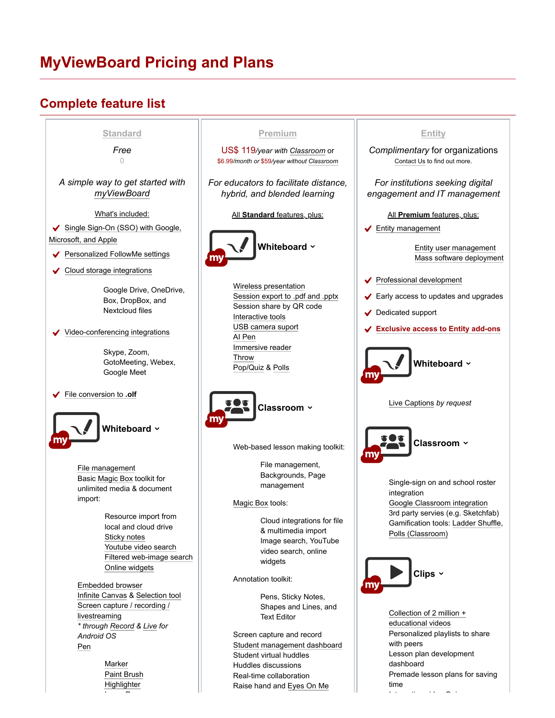## **MyViewBoard Pricing and Plans**

## **Complete feature list**